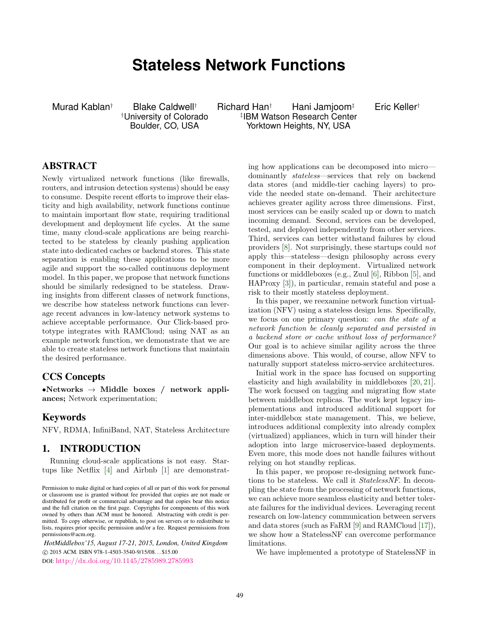# **Stateless Network Functions**

†University of Colorado ‡

Murad Kablan† Blake Caldwell† Richard Han† Hani Jamjoom‡ Eric Keller† IBM Watson Research Center Boulder, CO, USA Yorktown Heights, NY, USA

## ABSTRACT

Newly virtualized network functions (like firewalls, routers, and intrusion detection systems) should be easy to consume. Despite recent efforts to improve their elasticity and high availability, network functions continue to maintain important flow state, requiring traditional development and deployment life cycles. At the same time, many cloud-scale applications are being rearchitected to be stateless by cleanly pushing application state into dedicated caches or backend stores. This state separation is enabling these applications to be more agile and support the so-called continuous deployment model. In this paper, we propose that network functions should be similarly redesigned to be stateless. Drawing insights from different classes of network functions, we describe how stateless network functions can leverage recent advances in low-latency network systems to achieve acceptable performance. Our Click-based prototype integrates with RAMCloud; using NAT as an example network function, we demonstrate that we are able to create stateless network functions that maintain the desired performance.

## CCS Concepts

•Networks  $\rightarrow$  Middle boxes / network appliances; Network experimentation;

## Keywords

NFV, RDMA, InfiniBand, NAT, Stateless Architecture

## 1. INTRODUCTION

Running cloud-scale applications is not easy. Startups like Netflix [\[4\]](#page-5-0) and Airbnb [\[1\]](#page-5-1) are demonstrat-

*HotMiddlebox'15, August 17-21, 2015, London, United Kingdom* c 2015 ACM. ISBN 978-1-4503-3540-9/15/08. . . \$15.00 DOI: <http://dx.doi.org/10.1145/2785989.2785993>

ing how applications can be decomposed into micro dominantly stateless—services that rely on backend data stores (and middle-tier caching layers) to provide the needed state on-demand. Their architecture achieves greater agility across three dimensions. First, most services can be easily scaled up or down to match incoming demand. Second, services can be developed, tested, and deployed independently from other services. Third, services can better withstand failures by cloud providers [\[8\]](#page-5-2). Not surprisingly, these startups could not apply this—stateless—design philosophy across every component in their deployment. Virtualized network functions or middleboxes (e.g., Zuul [\[6\]](#page-5-3), Ribbon [\[5\]](#page-5-4), and HAProxy [\[3\]](#page-5-5)), in particular, remain stateful and pose a risk to their mostly stateless deployment.

In this paper, we reexamine network function virtualization (NFV) using a stateless design lens. Specifically, we focus on one primary question: can the state of a network function be cleanly separated and persisted in a backend store or cache without loss of performance? Our goal is to achieve similar agility across the three dimensions above. This would, of course, allow NFV to naturally support stateless micro-service architectures.

Initial work in the space has focused on supporting elasticity and high availability in middleboxes [\[20,](#page-5-6) [21\]](#page-5-7). The work focused on tagging and migrating flow state between middlebox replicas. The work kept legacy implementations and introduced additional support for inter-middlebox state management. This, we believe, introduces additional complexity into already complex (virtualized) appliances, which in turn will hinder their adoption into large microservice-based deployments. Even more, this mode does not handle failures without relying on hot standby replicas.

In this paper, we propose re-designing network functions to be stateless. We call it StatelessNF. In decoupling the state from the processing of network functions, we can achieve more seamless elasticity and better tolerate failures for the individual devices. Leveraging recent research on low-latency communication between servers and data stores (such as FaRM [\[9\]](#page-5-8) and RAMCloud [\[17\]](#page-5-9)), we show how a StatelessNF can overcome performance limitations.

We have implemented a prototype of StatelessNF in

Permission to make digital or hard copies of all or part of this work for personal or classroom use is granted without fee provided that copies are not made or distributed for profit or commercial advantage and that copies bear this notice and the full citation on the first page. Copyrights for components of this work owned by others than ACM must be honored. Abstracting with credit is permitted. To copy otherwise, or republish, to post on servers or to redistribute to lists, requires prior specific permission and/or a fee. Request permissions from permissions@acm.org.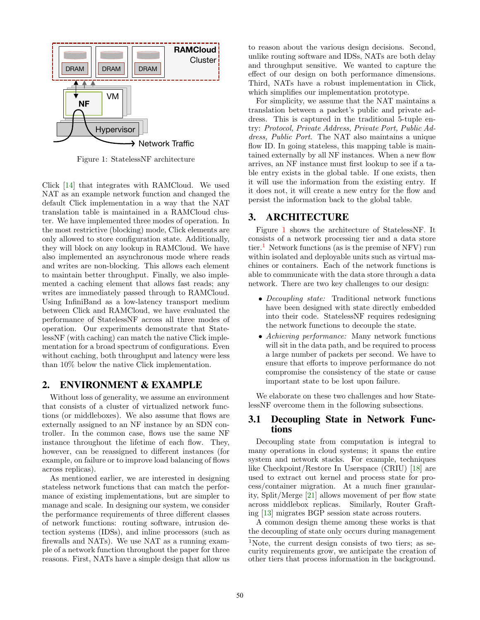<span id="page-1-0"></span>

Figure 1: StatelessNF architecture

Click [\[14\]](#page-5-10) that integrates with RAMCloud. We used NAT as an example network function and changed the default Click implementation in a way that the NAT translation table is maintained in a RAMCloud cluster. We have implemented three modes of operation. In the most restrictive (blocking) mode, Click elements are only allowed to store configuration state. Additionally, they will block on any lookup in RAMCloud. We have also implemented an asynchronous mode where reads and writes are non-blocking. This allows each element to maintain better throughput. Finally, we also implemented a caching element that allows fast reads; any writes are immediately passed through to RAMCloud. Using InfiniBand as a low-latency transport medium between Click and RAMCloud, we have evaluated the performance of StatelessNF across all three modes of operation. Our experiments demonstrate that StatelessNF (with caching) can match the native Click implementation for a broad spectrum of configurations. Even without caching, both throughput and latency were less than 10% below the native Click implementation.

## 2. ENVIRONMENT & EXAMPLE

Without loss of generality, we assume an environment that consists of a cluster of virtualized network functions (or middleboxes). We also assume that flows are externally assigned to an NF instance by an SDN controller. In the common case, flows use the same NF instance throughout the lifetime of each flow. They, however, can be reassigned to different instances (for example, on failure or to improve load balancing of flows across replicas).

As mentioned earlier, we are interested in designing stateless network functions that can match the performance of existing implementations, but are simpler to manage and scale. In designing our system, we consider the performance requirements of three different classes of network functions: routing software, intrusion detection systems (IDSs), and inline processors (such as firewalls and NATs). We use NAT as a running example of a network function throughout the paper for three reasons. First, NATs have a simple design that allow us to reason about the various design decisions. Second, unlike routing software and IDSs, NATs are both delay and throughput sensitive. We wanted to capture the effect of our design on both performance dimensions. Third, NATs have a robust implementation in Click, which simplifies our implementation prototype.

For simplicity, we assume that the NAT maintains a translation between a packet's public and private address. This is captured in the traditional 5-tuple entry: Protocol, Private Address, Private Port, Public Address, Public Port. The NAT also maintains a unique flow ID. In going stateless, this mapping table is maintained externally by all NF instances. When a new flow arrives, an NF instance must first lookup to see if a table entry exists in the global table. If one exists, then it will use the information from the existing entry. If it does not, it will create a new entry for the flow and persist the information back to the global table.

## 3. ARCHITECTURE

Figure [1](#page-1-0) shows the architecture of StatelessNF. It consists of a network processing tier and a data store tier.<sup>[1](#page-1-1)</sup> Network functions (as is the premise of NFV) run within isolated and deployable units such as virtual machines or containers. Each of the network functions is able to communicate with the data store through a data network. There are two key challenges to our design:

- *Decoupling state:* Traditional network functions have been designed with state directly embedded into their code. StatelessNF requires redesigning the network functions to decouple the state.
- Achieving performance: Many network functions will sit in the data path, and be required to process a large number of packets per second. We have to ensure that efforts to improve performance do not compromise the consistency of the state or cause important state to be lost upon failure.

We elaborate on these two challenges and how StatelessNF overcome them in the following subsections.

#### 3.1 Decoupling State in Network Functions

Decoupling state from computation is integral to many operations in cloud systems; it spans the entire system and network stacks. For example, techniques like Checkpoint/Restore In Userspace (CRIU) [\[18\]](#page-5-11) are used to extract out kernel and process state for process/container migration. At a much finer granularity, Split/Merge [\[21\]](#page-5-7) allows movement of per flow state across middlebox replicas. Similarly, Router Grafting [\[13\]](#page-5-12) migrates BGP session state across routers.

A common design theme among these works is that the decoupling of state only occurs during management

<span id="page-1-1"></span><sup>1</sup>Note, the current design consists of two tiers; as security requirements grow, we anticipate the creation of other tiers that process information in the background.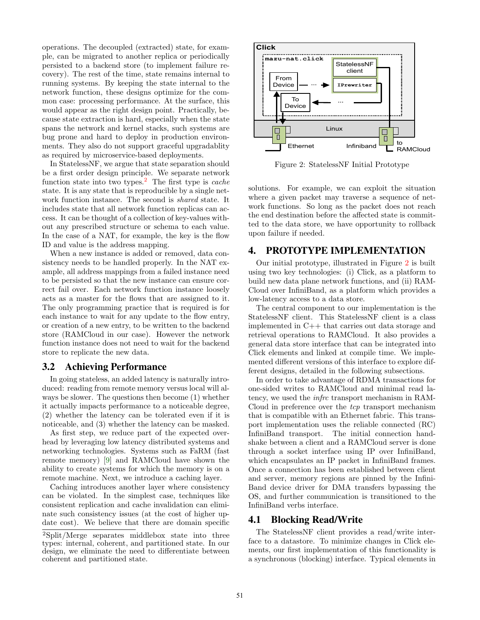operations. The decoupled (extracted) state, for example, can be migrated to another replica or periodically persisted to a backend store (to implement failure recovery). The rest of the time, state remains internal to running systems. By keeping the state internal to the network function, these designs optimize for the common case: processing performance. At the surface, this would appear as the right design point. Practically, because state extraction is hard, especially when the state spans the network and kernel stacks, such systems are bug prone and hard to deploy in production environments. They also do not support graceful upgradablity as required by microservice-based deployments.

In StatelessNF, we argue that state separation should be a first order design principle. We separate network function state into two types. $2$  The first type is *cache* state. It is any state that is reproducible by a single network function instance. The second is shared state. It includes state that all network function replicas can access. It can be thought of a collection of key-values without any prescribed structure or schema to each value. In the case of a NAT, for example, the key is the flow ID and value is the address mapping.

When a new instance is added or removed, data consistency needs to be handled properly. In the NAT example, all address mappings from a failed instance need to be persisted so that the new instance can ensure correct fail over. Each network function instance loosely acts as a master for the flows that are assigned to it. The only programming practice that is required is for each instance to wait for any update to the flow entry, or creation of a new entry, to be written to the backend store (RAMCloud in our case). However the network function instance does not need to wait for the backend store to replicate the new data.

#### 3.2 Achieving Performance

In going stateless, an added latency is naturally introduced: reading from remote memory versus local will always be slower. The questions then become (1) whether it actually impacts performance to a noticeable degree, (2) whether the latency can be tolerated even if it is noticeable, and (3) whether the latency can be masked.

As first step, we reduce part of the expected overhead by leveraging low latency distributed systems and networking technologies. Systems such as FaRM (fast remote memory) [\[9\]](#page-5-8) and RAMCloud have shown the ability to create systems for which the memory is on a remote machine. Next, we introduce a caching layer.

Caching introduces another layer where consistency can be violated. In the simplest case, techniques like consistent replication and cache invalidation can eliminate such consistency issues (at the cost of higher update cost). We believe that there are domain specific

<span id="page-2-1"></span>

Figure 2: StatelessNF Initial Prototype

solutions. For example, we can exploit the situation where a given packet may traverse a sequence of network functions. So long as the packet does not reach the end destination before the affected state is committed to the data store, we have opportunity to rollback upon failure if needed.

## 4. PROTOTYPE IMPLEMENTATION

Our initial prototype, illustrated in Figure [2](#page-2-1) is built using two key technologies: (i) Click, as a platform to build new data plane network functions, and (ii) RAM-Cloud over InfiniBand, as a platform which provides a low-latency access to a data store.

The central component to our implementation is the StatelessNF client. This StatelessNF client is a class implemented in C++ that carries out data storage and retrieval operations to RAMCloud. It also provides a general data store interface that can be integrated into Click elements and linked at compile time. We implemented different versions of this interface to explore different designs, detailed in the following subsections.

In order to take advantage of RDMA transactions for one-sided writes to RAMCloud and minimal read latency, we used the infrc transport mechanism in RAM-Cloud in preference over the tcp transport mechanism that is compatible with an Ethernet fabric. This transport implementation uses the reliable connected (RC) InfiniBand transport. The initial connection handshake between a client and a RAMCloud server is done through a socket interface using IP over InfiniBand, which encapsulates an IP packet in InfiniBand frames. Once a connection has been established between client and server, memory regions are pinned by the Infini-Band device driver for DMA transfers bypassing the OS, and further communication is transitioned to the InfiniBand verbs interface.

#### 4.1 Blocking Read/Write

The StatelessNF client provides a read/write interface to a datastore. To minimize changes in Click elements, our first implementation of this functionality is a synchronous (blocking) interface. Typical elements in

<span id="page-2-0"></span><sup>2</sup>Split/Merge separates middlebox state into three types: internal, coherent, and partitioned state. In our design, we eliminate the need to differentiate between coherent and partitioned state.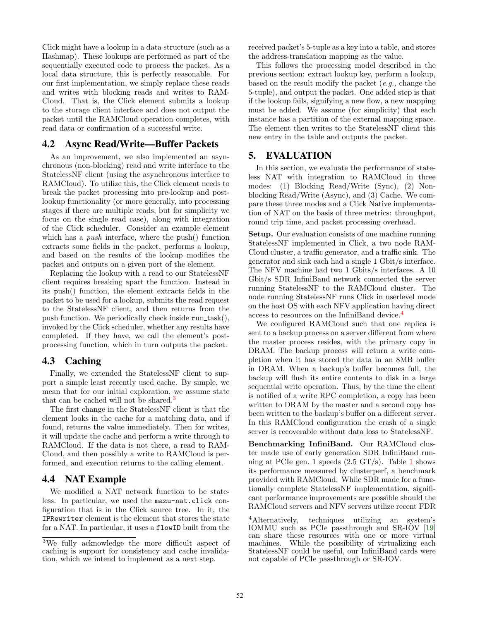Click might have a lookup in a data structure (such as a Hashmap). These lookups are performed as part of the sequentially executed code to process the packet. As a local data structure, this is perfectly reasonable. For our first implementation, we simply replace these reads and writes with blocking reads and writes to RAM-Cloud. That is, the Click element submits a lookup to the storage client interface and does not output the packet until the RAMCloud operation completes, with read data or confirmation of a successful write.

## 4.2 Async Read/Write—Buffer Packets

As an improvement, we also implemented an asynchronous (non-blocking) read and write interface to the StatelessNF client (using the asynchronous interface to RAMCloud). To utilize this, the Click element needs to break the packet processing into pre-lookup and postlookup functionality (or more generally, into processing stages if there are multiple reads, but for simplicity we focus on the single read case), along with integration of the Click scheduler. Consider an example element which has a *push* interface, where the  $push()$  function extracts some fields in the packet, performs a lookup, and based on the results of the lookup modifies the packet and outputs on a given port of the element.

Replacing the lookup with a read to our StatelessNF client requires breaking apart the function. Instead in its push() function, the element extracts fields in the packet to be used for a lookup, submits the read request to the StatelessNF client, and then returns from the push function. We periodically check inside run\_task(), invoked by the Click scheduler, whether any results have completed. If they have, we call the element's postprocessing function, which in turn outputs the packet.

## 4.3 Caching

Finally, we extended the StatelessNF client to support a simple least recently used cache. By simple, we mean that for our initial exploration, we assume state that can be cached will not be shared.<sup>[3](#page-3-0)</sup>

The first change in the StatelessNF client is that the element looks in the cache for a matching data, and if found, returns the value immediately. Then for writes, it will update the cache and perform a write through to RAMCloud. If the data is not there, a read to RAM-Cloud, and then possibly a write to RAMCloud is performed, and execution returns to the calling element.

## 4.4 NAT Example

We modified a NAT network function to be stateless. In particular, we used the mazu-nat.click configuration that is in the Click source tree. In it, the IPRewriter element is the element that stores the state for a NAT. In particular, it uses a flowID built from the received packet's 5-tuple as a key into a table, and stores the address-translation mapping as the value.

This follows the processing model described in the previous section: extract lookup key, perform a lookup, based on the result modify the packet  $(e.g., change the$ 5-tuple), and output the packet. One added step is that if the lookup fails, signifying a new flow, a new mapping must be added. We assume (for simplicity) that each instance has a partition of the external mapping space. The element then writes to the StatelessNF client this new entry in the table and outputs the packet.

## 5. EVALUATION

In this section, we evaluate the performance of stateless NAT with integration to RAMCloud in three modes: (1) Blocking Read/Write (Sync), (2) Nonblocking Read/Write (Async), and (3) Cache. We compare these three modes and a Click Native implementation of NAT on the basis of three metrics: throughput, round trip time, and packet processing overhead.

Setup. Our evaluation consists of one machine running StatelessNF implemented in Click, a two node RAM-Cloud cluster, a traffic generator, and a traffic sink. The generator and sink each had a single 1 Gbit/s interface. The NFV machine had two 1 Gbits/s interfaces. A 10 Gbit/s SDR InfiniBand network connected the server running StatelessNF to the RAMCloud cluster. The node running StatelessNF runs Click in userlevel mode on the host OS with each NFV application having direct access to resources on the InfiniBand device.[4](#page-3-1)

We configured RAMCloud such that one replica is sent to a backup process on a server different from where the master process resides, with the primary copy in DRAM. The backup process will return a write completion when it has stored the data in an 8MB buffer in DRAM. When a backup's buffer becomes full, the backup will flush its entire contents to disk in a large sequential write operation. Thus, by the time the client is notified of a write RPC completion, a copy has been written to DRAM by the master and a second copy has been written to the backup's buffer on a different server. In this RAMCloud configuration the crash of a single server is recoverable without data loss to StatelessNF.

Benchmarking InfiniBand. Our RAMCloud cluster made use of early generation SDR InfiniBand run-ning at PCIe gen. [1](#page-4-0) speeds  $(2.5 \text{ GT/s})$ . Table 1 shows its performance measured by clusterperf, a benchmark provided with RAMCloud. While SDR made for a functionally complete StatelessNF implementation, significant performance improvements are possible should the RAMCloud servers and NFV servers utilize recent FDR

<span id="page-3-0"></span><sup>3</sup>We fully acknowledge the more difficult aspect of caching is support for consistency and cache invalidation, which we intend to implement as a next step.

<span id="page-3-1"></span><sup>4</sup>Alternatively, techniques utilizing an system's IOMMU such as PCIe passthrough and SR-IOV [\[19\]](#page-5-13) can share these resources with one or more virtual machines. While the possibility of virtualizing each StatelessNF could be useful, our InfiniBand cards were not capable of PCIe passthrough or SR-IOV.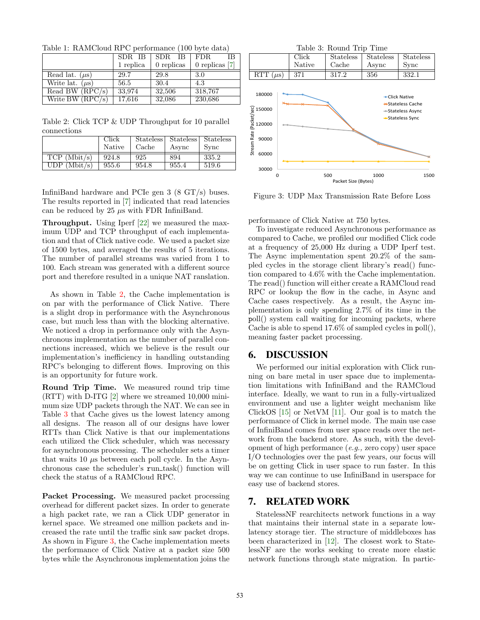<span id="page-4-0"></span>Table 1: RAMCloud RPC performance (100 byte data)

|                                  | SDR IB    | SDR IB       | FDR.<br>ΙB       |
|----------------------------------|-----------|--------------|------------------|
|                                  | 1 replica | $0$ replicas | 0 replicas $[7]$ |
| Read lat. $(\mu s)$              | 29.7      | 29.8         | -3.0             |
| Write lat. $(\mu s)$             | 56.5      | 30.4         | 4.3              |
| Read BW $(RPC/s)$                | 33,974    | 32,506       | 318,767          |
| Write $\overline{\rm BW(RPC/s)}$ | 17,616    | 32,086       | 230,686          |

<span id="page-4-1"></span>Table 2: Click TCP & UDP Throughput for 10 parallel connections

|                | Click<br>Native | Stateless  <br>Cache | <b>Stateless</b><br>Asvnc | Stateless<br>$_{\rm Sync}$ |
|----------------|-----------------|----------------------|---------------------------|----------------------------|
| TCP<br>Mbit/s) | 924.8           | 925                  | 894                       | 335.2                      |
| UDP<br>' ت     | 955.6           | 954.8                | 955.4                     | 519.6                      |

InfiniBand hardware and PCIe gen 3 (8 GT/s) buses. The results reported in [\[7\]](#page-5-14) indicated that read latencies can be reduced by 25  $\mu$ s with FDR InfiniBand.

Throughput. Using Iperf [\[22\]](#page-5-15) we measured the maximum UDP and TCP throughput of each implementation and that of Click native code. We used a packet size of 1500 bytes, and averaged the results of 5 iterations. The number of parallel streams was varied from 1 to 100. Each stream was generated with a different source port and therefore resulted in a unique NAT ranslation.

As shown in Table [2,](#page-4-1) the Cache implementation is on par with the performance of Click Native. There is a slight drop in performance with the Asynchronous case, but much less than with the blocking alternative. We noticed a drop in performance only with the Asynchronous implementation as the number of parallel connections increased, which we believe is the result our implementation's inefficiency in handling outstanding RPC's belonging to different flows. Improving on this is an opportunity for future work.

Round Trip Time. We measured round trip time (RTT) with D-ITG [\[2\]](#page-5-16) where we streamed 10,000 minimum size UDP packets through the NAT. We can see in Table [3](#page-4-2) that Cache gives us the lowest latency among all designs. The reason all of our designs have lower RTTs than Click Native is that our implementations each utilized the Click scheduler, which was necessary for asynchronous processing. The scheduler sets a timer that waits 10  $\mu$ s between each poll cycle. In the Asynchronous case the scheduler's run task() function will check the status of a RAMCloud RPC.

Packet Processing. We measured packet processing overhead for different packet sizes. In order to generate a high packet rate, we ran a Click UDP generator in kernel space. We streamed one million packets and increased the rate until the traffic sink saw packet drops. As shown in Figure [3,](#page-4-3) the Cache implementation meets the performance of Click Native at a packet size 500 bytes while the Asynchronous implementation joins the

<span id="page-4-3"></span><span id="page-4-2"></span>

Figure 3: UDP Max Transmission Rate Before Loss

performance of Click Native at 750 bytes.

To investigate reduced Asynchronous performance as compared to Cache, we profiled our modified Click code at a frequency of 25,000 Hz during a UDP Iperf test. The Async implementation spent 20.2% of the sampled cycles in the storage client library's read() function compared to 4.6% with the Cache implementation. The read() function will either create a RAMCloud read RPC or lookup the flow in the cache, in Async and Cache cases respectively. As a result, the Async implementation is only spending 2.7% of its time in the poll() system call waiting for incoming packets, where Cache is able to spend  $17.6\%$  of sampled cycles in poll(), meaning faster packet processing.

## 6. DISCUSSION

We performed our initial exploration with Click running on bare metal in user space due to implementation limitations with InfiniBand and the RAMCloud interface. Ideally, we want to run in a fully-virtualized environment and use a lighter weight mechanism like ClickOS [\[15\]](#page-5-17) or NetVM [\[11\]](#page-5-18). Our goal is to match the performance of Click in kernel mode. The main use case of InfiniBand comes from user space reads over the network from the backend store. As such, with the development of high performance (e.g., zero copy) user space I/O technologies over the past few years, our focus will be on getting Click in user space to run faster. In this way we can continue to use InfiniBand in userspace for easy use of backend stores.

## 7. RELATED WORK

StatelessNF rearchitects network functions in a way that maintains their internal state in a separate lowlatency storage tier. The structure of middleboxes has been characterized in [\[12\]](#page-5-19). The closest work to StatelessNF are the works seeking to create more elastic network functions through state migration. In partic